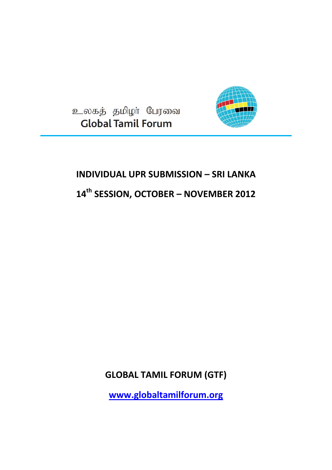உலகத் தமிழா் பேரவை **Global Tamil Forum** 



# **INDIVIDUAL UPR SUBMISSION – SRI LANKA**

**14th SESSION, OCTOBER – NOVEMBER 2012**

**GLOBAL TAMIL FORUM (GTF)**

**[www.globaltamilforum.org](http://www.globaltamilforum.org/)**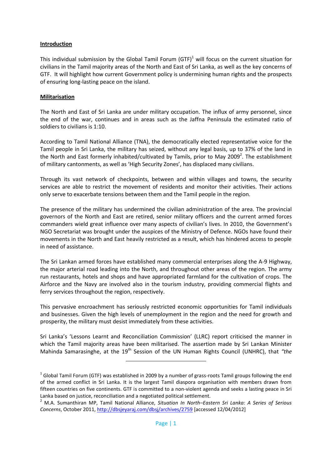### **Introduction**

This individual submission by the Global Tamil Forum (GTF)<sup>1</sup> will focus on the current situation for civilians in the Tamil majority areas of the North and East of Sri Lanka, as well as the key concerns of GTF. It will highlight how current Government policy is undermining human rights and the prospects of ensuring long-lasting peace on the island.

### **Militarisation**

The North and East of Sri Lanka are under military occupation. The influx of army personnel, since the end of the war, continues and in areas such as the Jaffna Peninsula the estimated ratio of soldiers to civilians is 1:10.

According to Tamil National Alliance (TNA), the democratically elected representative voice for the Tamil people in Sri Lanka, the military has seized, without any legal basis, up to 37% of the land in the North and East formerly inhabited/cultivated by Tamils, prior to May 2009<sup>2</sup>. The establishment of military cantonments, as well as 'High Security Zones', has displaced many civilians.

Through its vast network of checkpoints, between and within villages and towns, the security services are able to restrict the movement of residents and monitor their activities. Their actions only serve to exacerbate tensions between them and the Tamil people in the region.

The presence of the military has undermined the civilian administration of the area. The provincial governors of the North and East are retired, senior military officers and the current armed forces commanders wield great influence over many aspects of civilian's lives. In 2010, the Government's NGO Secretariat was brought under the auspices of the Ministry of Defence. NGOs have found their movements in the North and East heavily restricted as a result, which has hindered access to people in need of assistance.

The Sri Lankan armed forces have established many commercial enterprises along the A-9 Highway, the major arterial road leading into the North, and throughout other areas of the region. The army run restaurants, hotels and shops and have appropriated farmland for the cultivation of crops. The Airforce and the Navy are involved also in the tourism industry, providing commercial flights and ferry services throughout the region, respectively.

This pervasive encroachment has seriously restricted economic opportunities for Tamil individuals and businesses. Given the high levels of unemployment in the region and the need for growth and prosperity, the military must desist immediately from these activities.

Sri Lanka's 'Lessons Learnt and Reconciliation Commission' (LLRC) report criticised the manner in which the Tamil majority areas have been militarised. The assertion made by Sri Lankan Minister Mahinda Samarasinghe, at the 19<sup>th</sup> Session of the UN Human Rights Council (UNHRC), that *"the* 

 $\overline{a}$ 

 $^1$  Global Tamil Forum (GTF) was established in 2009 by a number of grass-roots Tamil groups following the end of the armed conflict in Sri Lanka. It is the largest Tamil diaspora organisation with members drawn from fifteen countries on five continents. GTF is committed to a non-violent agenda and seeks a lasting peace in Sri Lanka based on justice, reconciliation and a negotiated political settlement.

<sup>2</sup> M.A. Sumanthiran MP, Tamil National Alliance, *Situation In North–Eastern Sri Lanka: A Series of Serious Concerns*, October 2011,<http://dbsjeyaraj.com/dbsj/archives/2759> [accessed 12/04/2012]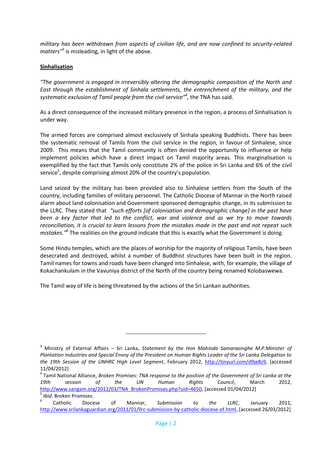*military has been withdrawn from aspects of civilian life, and are now confined to security-related matters"<sup>3</sup>* is misleading, in light of the above.

### **Sinhalisation**

*"The government is engaged in irreversibly altering the demographic composition of the North and East through the establishment of Sinhala settlements, the entrenchment of the military, and the systematic exclusion of Tamil people from the civil service"<sup>4</sup> ,* the TNA has said.

As a direct consequence of the increased military presence in the region, a process of Sinhalisation is under way.

The armed forces are comprised almost exclusively of Sinhala speaking Buddhists. There has been the systematic removal of Tamils from the civil service in the region, in favour of Sinhalese, since 2009. This means that the Tamil community is often denied the opportunity to influence or help implement policies which have a direct impact on Tamil majority areas. This marginalisation is exemplified by the fact that Tamils only constitute 2% of the police in Sri Lanka and 6% of the civil service<sup>5</sup>, despite comprising almost 20% of the country's population.

Land seized by the military has been provided also to Sinhalese settlers from the South of the country, including families of military personnel. The Catholic Diocese of Mannar in the North raised alarm about land colonisation and Government sponsored demographic change, in its submission to the LLRC. They stated that *"such efforts [of colonisation and demographic change] in the past have been a key factor that led to the conflict, war and violence and as we try to move towards reconciliation, it is crucial to learn lessons from the mistakes made in the past and not repeat such mistakes."<sup>6</sup>* The realities on the ground indicate that this is exactly what the Government is doing.

Some Hindu temples, which are the places of worship for the majority of religious Tamils, have been desecrated and destroyed, whilst a number of Buddhist structures have been built in the region. Tamil names for towns and roads have been changed into Sinhalese, with, for example, the village of Kokachankulam in the Vavuniya district of the North of the country being renamed Kolobaswewa.

The Tamil way of life is being threatened by the actions of the Sri Lankan authorities.

<sup>3</sup> Ministry of External Affairs – Sri Lanka, *Statement by the Hon Mahinda Samarasinghe M.P.Minister of Plantation Industries and Special Envoy of the President on Human Rights Leader of the Sri Lanka Delegation to the 19th Session of the UNHRC High Level Segment*, February 2012, [http://tinyurl.com/d9je8z9,](http://tinyurl.com/d9je8z9) [accessed 11/04/2012]

<sup>4</sup> Tamil National Alliance, *Broken Promises: TNA response to the position of the Government of Sri Lanka at the 19th session of the UN Human Rights Council*, March 2012, [http://www.sangam.org/2012/03/TNA\\_BrokenPromises.php?uid=4650,](http://www.sangam.org/2012/03/TNA_BrokenPromises.php?uid=4650) [accessed 01/04/2012] 5 *Ibid*. Broken Promises.

<sup>6</sup> Catholic Diocese of Mannar, *Submission to the LLRC*, January 2011, [http://www.srilankaguardian.org/2011/01/llrc-submission-by-catholic-diocese-of.html,](http://www.srilankaguardian.org/2011/01/llrc-submission-by-catholic-diocese-of.html) [accessed 26/03/2012]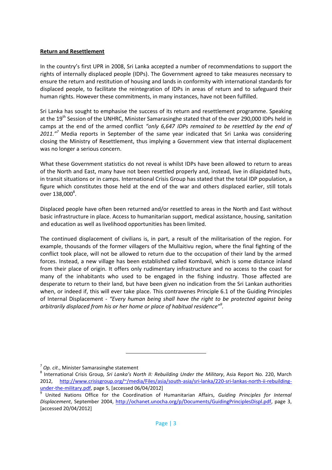### **Return and Resettlement**

In the country's first UPR in 2008, Sri Lanka accepted a number of recommendations to support the rights of internally displaced people (IDPs). The Government agreed to take measures necessary to ensure the return and restitution of housing and lands in conformity with international standards for displaced people, to facilitate the reintegration of IDPs in areas of return and to safeguard their human rights. However these commitments, in many instances, have not been fulfilled.

Sri Lanka has sought to emphasise the success of its return and resettlement programme. Speaking at the 19<sup>th</sup> Session of the UNHRC, Minister Samarasinghe stated that of the over 290,000 IDPs held in camps at the end of the armed conflict *"only 6,647 IDPs remained to be resettled by the end of 2011."<sup>7</sup>* Media reports in September of the same year indicated that Sri Lanka was considering closing the Ministry of Resettlement, thus implying a Government view that internal displacement was no longer a serious concern.

What these Government statistics do not reveal is whilst IDPs have been allowed to return to areas of the North and East, many have not been resettled properly and, instead, live in dilapidated huts, in transit situations or in camps. International Crisis Group has stated that the total IDP population, a figure which constitutes those held at the end of the war and others displaced earlier, still totals over 138,000<sup>8</sup>.

Displaced people have often been returned and/or resettled to areas in the North and East without basic infrastructure in place. Access to humanitarian support, medical assistance, housing, sanitation and education as well as livelihood opportunities has been limited.

The continued displacement of civilians is, in part, a result of the militarisation of the region. For example, thousands of the former villagers of the Mullaitivu region, where the final fighting of the conflict took place, will not be allowed to return due to the occupation of their land by the armed forces. Instead, a new village has been established called Kombavil, which is some distance inland from their place of origin. It offers only rudimentary infrastructure and no access to the coast for many of the inhabitants who used to be engaged in the fishing industry. Those affected are desperate to return to their land, but have been given no indication from the Sri Lankan authorities when, or indeed if, this will ever take place. This contravenes Principle 6.1 of the Guiding Principles of Internal Displacement - *"Every human being shall have the right to be protected against being arbitrarily displaced from his or her home or place of habitual residence"<sup>9</sup> .*

<sup>7</sup> *Op. cit*., Minister Samarasinghe statement

<sup>8</sup> International Crisis Group*, Sri Lanka's North II: Rebuilding Under the Military*, Asia Report No. 220, March 2012, [http://www.crisisgroup.org/~/media/Files/asia/south-asia/sri-lanka/220-sri-lankas-north-ii-rebuilding](http://www.crisisgroup.org/~/media/Files/asia/south-asia/sri-lanka/220-sri-lankas-north-ii-rebuilding-under-the-military.pdf)[under-the-military.pdf,](http://www.crisisgroup.org/~/media/Files/asia/south-asia/sri-lanka/220-sri-lankas-north-ii-rebuilding-under-the-military.pdf) page 5, [accessed 06/04/2012]

<sup>9</sup> United Nations Office for the Coordination of Humanitarian Affairs, *Guiding Principles for Internal Displacement*, September 2004, [http://ochanet.unocha.org/p/Documents/GuidingPrinciplesDispl.pdf,](http://ochanet.unocha.org/p/Documents/GuidingPrinciplesDispl.pdf) page 3, [accessed 20/04/2012]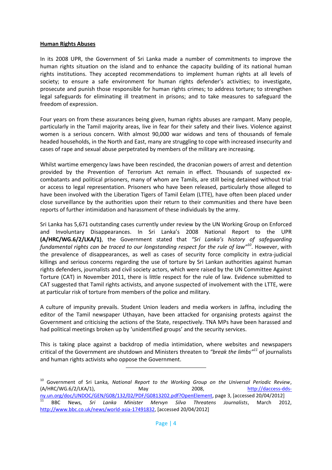#### **Human Rights Abuses**

In its 2008 UPR, the Government of Sri Lanka made a number of commitments to improve the human rights situation on the island and to enhance the capacity building of its national human rights institutions. They accepted recommendations to implement human rights at all levels of society; to ensure a safe environment for human rights defender's activities; to investigate, prosecute and punish those responsible for human rights crimes; to address torture; to strengthen legal safeguards for eliminating ill treatment in prisons; and to take measures to safeguard the freedom of expression.

Four years on from these assurances being given, human rights abuses are rampant. Many people, particularly in the Tamil majority areas, live in fear for their safety and their lives. Violence against women is a serious concern. With almost 90,000 war widows and tens of thousands of female headed households, in the North and East, many are struggling to cope with increased insecurity and cases of rape and sexual abuse perpetrated by members of the military are increasing.

Whilst wartime emergency laws have been rescinded, the draconian powers of arrest and detention provided by the Prevention of Terrorism Act remain in effect. Thousands of suspected excombatants and political prisoners, many of whom are Tamils, are still being detained without trial or access to legal representation. Prisoners who have been released, particularly those alleged to have been involved with the Liberation Tigers of Tamil Eelam (LTTE), have often been placed under close surveillance by the authorities upon their return to their communities and there have been reports of further intimidation and harassment of these individuals by the army.

Sri Lanka has 5,671 outstanding cases currently under review by the UN Working Group on Enforced and Involuntary Disappearances. In Sri Lanka's 2008 National Report to the UPR **(A/HRC/WG.6/2/LKA/1)**, the Government stated that *"Sri Lanka's history of safeguarding fundamental rights can be traced to our longstanding respect for the rule of law"<sup>10</sup>* . However, with the prevalence of disappearances, as well as cases of security force complicity in extra-judicial killings and serious concerns regarding the use of torture by Sri Lankan authorities against human rights defenders, journalists and civil society actors, which were raised by the UN Committee Against Torture (CAT) in November 2011, there is little respect for the rule of law. Evidence submitted to CAT suggested that Tamil rights activists, and anyone suspected of involvement with the LTTE, were at particular risk of torture from members of the police and military.

A culture of impunity prevails. Student Union leaders and media workers in Jaffna, including the editor of the Tamil newspaper Uthayan, have been attacked for organising protests against the Government and criticising the actions of the State, respectively. TNA MPs have been harassed and had political meetings broken up by 'unidentified groups' and the security services.

This is taking place against a backdrop of media intimidation, where websites and newspapers critical of the Government are shutdown and Ministers threaten to *"break the limbs"<sup>11</sup>* of journalists and human rights activists who oppose the Government.

<sup>10</sup> Government of Sri Lanka*, National Report to the Working Group on the Universal Periodic Review*, (A/HRC/WG.6/2/LKA/1), May 2008, [http://daccess-dds-](http://daccess-dds-ny.un.org/doc/UNDOC/GEN/G08/132/02/PDF/G0813202.pdf?OpenElement)

[ny.un.org/doc/UNDOC/GEN/G08/132/02/PDF/G0813202.pdf?OpenElement,](http://daccess-dds-ny.un.org/doc/UNDOC/GEN/G08/132/02/PDF/G0813202.pdf?OpenElement) page 3, [accessed 20/04/2012] <sup>11</sup> BBC News, *Sri Lanka Minister Mervyn Silva Threatens Journalists*, March 2012, [http://www.bbc.co.uk/news/world-asia-17491832,](http://www.bbc.co.uk/news/world-asia-17491832) [accessed 20/04/2012]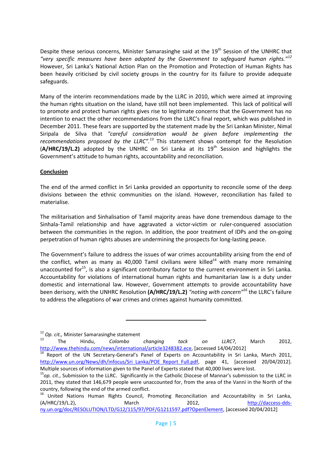Despite these serious concerns, Minister Samarasinghe said at the 19<sup>th</sup> Session of the UNHRC that *"very specific measures have been adopted by the Government to safeguard human rights."<sup>12</sup>* However, Sri Lanka's National Action Plan on the Promotion and Protection of Human Rights has been heavily criticised by civil society groups in the country for its failure to provide adequate safeguards.

Many of the interim recommendations made by the LLRC in 2010, which were aimed at improving the human rights situation on the island, have still not been implemented. This lack of political will to promote and protect human rights gives rise to legitimate concerns that the Government has no intention to enact the other recommendations from the LLRC's final report, which was published in December 2011. These fears are supported by the statement made by the Sri Lankan Minister, Nimal Siripala de Silva that *"careful consideration would be given before implementing the recommendations proposed by the LLRC".<sup>13</sup>* This statement shows contempt for the Resolution (A/HRC/19/L.2) adopted by the UNHRC on Sri Lanka at its 19<sup>th</sup> Session and highlights the Government's attitude to human rights, accountability and reconciliation.

### **Conclusion**

The end of the armed conflict in Sri Lanka provided an opportunity to reconcile some of the deep divisions between the ethnic communities on the island. However, reconciliation has failed to materialise.

The militarisation and Sinhalisation of Tamil majority areas have done tremendous damage to the Sinhala-Tamil relationship and have aggravated a victor-victim or ruler-conquered association between the communities in the region. In addition, the poor treatment of IDPs and the on-going perpetration of human rights abuses are undermining the prospects for long-lasting peace.

The Government's failure to address the issues of war crimes accountability arising from the end of the conflict, when as many as 40,000 Tamil civilians were killed<sup>14</sup> with many more remaining unaccounted for<sup>15</sup>, is also a significant contributory factor to the current environment in Sri Lanka. Accountability for violations of international human rights and humanitarian law is a duty under domestic and international law. However, Government attempts to provide accountability have been derisory, with the UNHRC Resolution **(A/HRC/19/L.2)** *"noting with concern"<sup>16</sup>* the LLRC's failure to address the allegations of war crimes and crimes against humanity committed.

<sup>12</sup> *Op. cit.,* Minister Samarasinghe statement

<sup>13</sup> The Hindu, *Colombo changing tack on LLRC?*, March 2012, [http://www.thehindu.com/news/international/article3248382.ece,](http://www.thehindu.com/news/international/article3248382.ece) [accessed 14/04/2012]

<sup>&</sup>lt;sup>14</sup> Report of the UN Secretary-General's Panel of Experts on Accountability in Sri Lanka, March 2011, [http://www.un.org/News/dh/infocus/Sri\\_Lanka/POE\\_Report\\_Full.pdf,](http://www.un.org/News/dh/infocus/Sri_Lanka/POE_Report_Full.pdf) page 41, [accessed 20/04/2012]. Multiple sources of information given to the Panel of Experts stated that 40,000 lives were lost.

<sup>15</sup>*op. cit*., Submission to the LLRC. Significantly in the Catholic Diocese of Mannar's submission to the LLRC in 2011, they stated that 146,679 people were unaccounted for, from the area of the Vanni in the North of the country, following the end of the armed conflict.

<sup>&</sup>lt;sup>16</sup> United Nations Human Rights Council, Promoting Reconciliation and Accountability in Sri Lanka, (A/HRC/19/L.2), March 2012, [http://daccess-dds](http://daccess-dds-ny.un.org/doc/RESOLUTION/LTD/G12/115/97/PDF/G1211597.pdf?OpenElement)[ny.un.org/doc/RESOLUTION/LTD/G12/115/97/PDF/G1211597.pdf?OpenElement,](http://daccess-dds-ny.un.org/doc/RESOLUTION/LTD/G12/115/97/PDF/G1211597.pdf?OpenElement) [accessed 20/04/2012]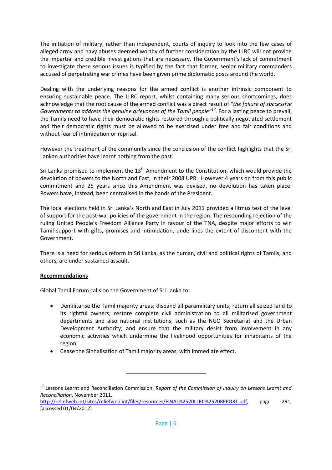The initiation of military, rather than independent, courts of inquiry to look into the few cases of alleged army and navy abuses deemed worthy of further consideration by the LLRC will not provide the impartial and credible investigations that are necessary. The Government's lack of commitment to investigate these serious issues is typified by the fact that former, senior military commanders accused of perpetrating war crimes have been given prime diplomatic posts around the world.

Dealing with the underlying reasons for the armed conflict is another intrinsic component to ensuring sustainable peace. The LLRC report, whilst containing many serious shortcomings, does acknowledge that the root cause of the armed conflict was a direct result of *"the failure of successive Governments to address the genuine grievances of the Tamil people"<sup>17</sup> .* For a lasting peace to prevail, the Tamils need to have their democratic rights restored through a politically negotiated settlement and their democratic rights must be allowed to be exercised under free and fair conditions and without fear of intimidation or reprisal.

However the treatment of the community since the conclusion of the conflict highlights that the Sri Lankan authorities have learnt nothing from the past.

Sri Lanka promised to implement the  $13<sup>th</sup>$  Amendment to the Constitution, which would provide the devolution of powers to the North and East, in their 2008 UPR. However 4 years on from this public commitment and 25 years since this Amendment was devised, no devolution has taken place. Powers have, instead, been centralised in the hands of the President.

The local elections held in Sri Lanka's North and East in July 2011 provided a litmus test of the level of support for the post-war policies of the government in the region. The resounding rejection of the ruling United People's Freedom Alliance Party in favour of the TNA, despite major efforts to win Tamil support with gifts, promises and intimidation, underlines the extent of discontent with the Government.

There is a need for serious reform in Sri Lanka, as the human, civil and political rights of Tamils, and others, are under sustained assault.

## **Recommendations**

Global Tamil Forum calls on the Government of Sri Lanka to:

- Demilitarise the Tamil majority areas; disband all paramilitary units; return all seized land to its rightful owners; restore complete civil administration to all militarised government departments and also national institutions, such as the NGO Secretariat and the Urban Development Authority; and ensure that the military desist from involvement in any economic activities which undermine the livelihood opportunities for inhabitants of the region.
- Cease the Sinhalisation of Tamil majority areas, with immediate effect.

<sup>17</sup> Lessons Learnt and Reconciliation Commission, *Report of the Commission of Inquiry on Lessons Learnt and Reconciliation*, November 2011,

[http://reliefweb.int/sites/reliefweb.int/files/resources/FINAL%2520LLRC%2520REPORT.pdf,](http://reliefweb.int/sites/reliefweb.int/files/resources/FINAL%2520LLRC%2520REPORT.pdf) page 291, [accessed 01/04/2012]